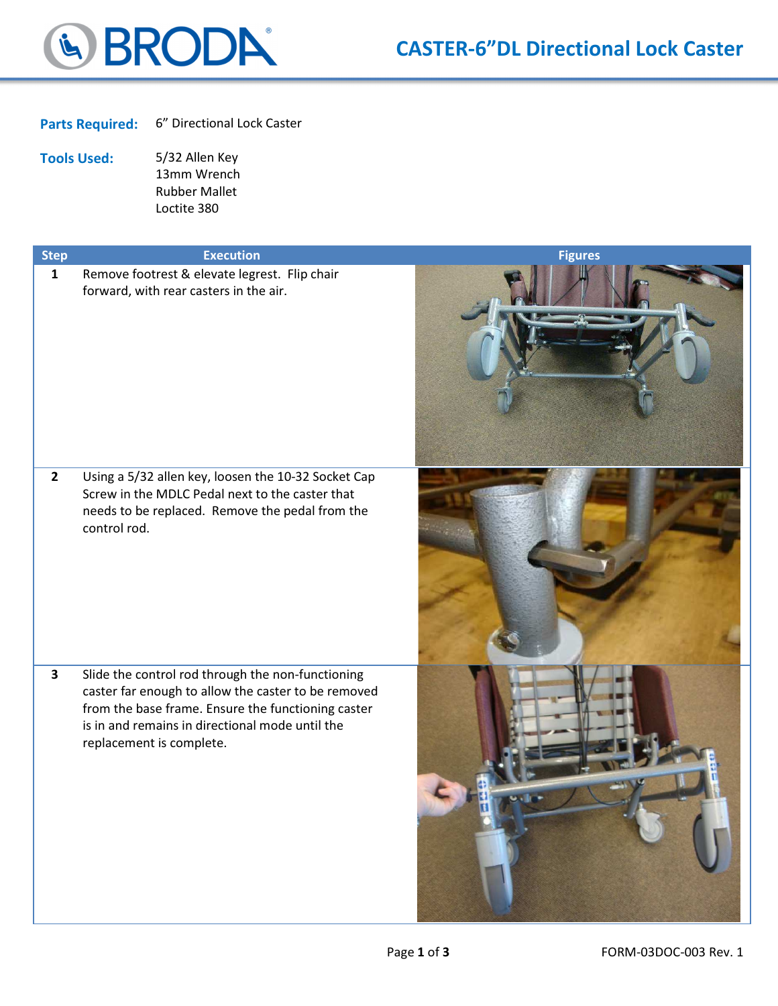

Parts Required: 6" Directional Lock Caster

Tools Used: 5/32 Allen Key 13mm Wrench Rubber Mallet Loctite 380

| <b>Step</b>  | <b>Execution</b>                                                                                                                                                                                                                              | <b>Figures</b> |
|--------------|-----------------------------------------------------------------------------------------------------------------------------------------------------------------------------------------------------------------------------------------------|----------------|
| $\mathbf{1}$ | Remove footrest & elevate legrest. Flip chair<br>forward, with rear casters in the air.                                                                                                                                                       |                |
| $\mathbf{2}$ | Using a 5/32 allen key, loosen the 10-32 Socket Cap<br>Screw in the MDLC Pedal next to the caster that<br>needs to be replaced. Remove the pedal from the<br>control rod.                                                                     |                |
| $\mathbf{3}$ | Slide the control rod through the non-functioning<br>caster far enough to allow the caster to be removed<br>from the base frame. Ensure the functioning caster<br>is in and remains in directional mode until the<br>replacement is complete. |                |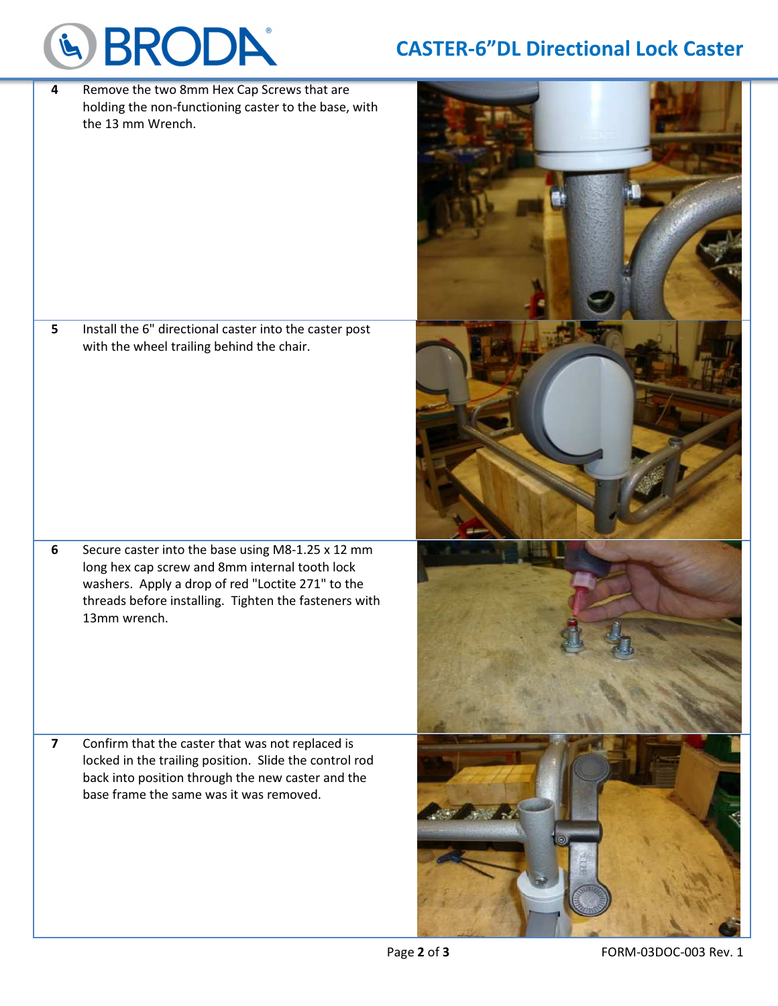## & BRODA®

## CASTER-6"DL Directional Lock Caster

4 Remove the two 8mm Hex Cap Screws that are holding the non-functioning caster to the base, with the 13 mm Wrench.

5 Install the 6" directional caster into the caster post with the wheel trailing behind the chair.

6 Secure caster into the base using M8-1.25 x 12 mm long hex cap screw and 8mm internal tooth lock washers. Apply a drop of red "Loctite 271" to the threads before installing. Tighten the fasteners with 13mm wrench.

7 Confirm that the caster that was not replaced is locked in the trailing position. Slide the control rod back into position through the new caster and the base frame the same was it was removed.